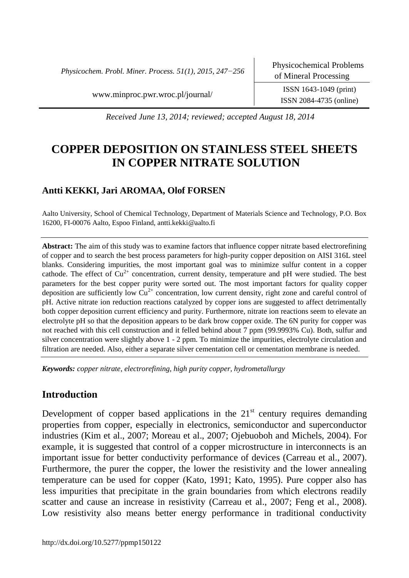*Physicochem. Probl. Miner. Process. 51(1), 2015, 247−256*

www.minproc.pwr.wroc.pl/journal/ ISSN 1643-1049 (print)

ISSN 2084-4735 (online)

*Received June 13, 2014; reviewed; accepted August 18, 2014*

# **COPPER DEPOSITION ON STAINLESS STEEL SHEETS IN COPPER NITRATE SOLUTION**

# **Antti KEKKI, Jari AROMAA, Olof FORSEN**

Aalto University, School of Chemical Technology, Department of Materials Science and Technology, P.O. Box 16200, FI-00076 Aalto, Espoo Finland, antti.kekki@aalto.fi

**Abstract:** The aim of this study was to examine factors that influence copper nitrate based electrorefining of copper and to search the best process parameters for high-purity copper deposition on AISI 316L steel blanks. Considering impurities, the most important goal was to minimize sulfur content in a copper cathode. The effect of  $Cu^{2+}$  concentration, current density, temperature and pH were studied. The best parameters for the best copper purity were sorted out. The most important factors for quality copper deposition are sufficiently low  $Cu^{2+}$  concentration, low current density, right zone and careful control of pH. Active nitrate ion reduction reactions catalyzed by copper ions are suggested to affect detrimentally both copper deposition current efficiency and purity. Furthermore, nitrate ion reactions seem to elevate an electrolyte pH so that the deposition appears to be dark brow copper oxide. The 6N purity for copper was not reached with this cell construction and it felled behind about 7 ppm (99.9993% Cu). Both, sulfur and silver concentration were slightly above 1 - 2 ppm. To minimize the impurities, electrolyte circulation and filtration are needed. Also, either a separate silver cementation cell or cementation membrane is needed.

*Keywords: copper nitrate, electrorefining, high purity copper, hydrometallurgy* 

# **Introduction**

Development of copper based applications in the  $21<sup>st</sup>$  century requires demanding properties from copper, especially in electronics, semiconductor and superconductor industries [\(Kim et al., 2007;](#page-8-0) [Moreau et al., 2007;](#page-9-0) [Ojebuoboh and Michels, 2004\)](#page-9-1). For example, it is suggested that control of a copper microstructure in interconnects is an important issue for better conductivity performance of devices [\(Carreau et al., 2007\)](#page-8-1). Furthermore, the purer the copper, the lower the resistivity and the lower annealing temperature can be used for copper [\(Kato, 1991;](#page-8-2) [Kato, 1995\)](#page-8-3). Pure copper also has less impurities that precipitate in the grain boundaries from which electrons readily scatter and cause an increase in resistivity [\(Carreau et al., 2007;](#page-8-1) [Feng et al., 2008\)](#page-8-4). Low resistivity also means better energy performance in traditional conductivity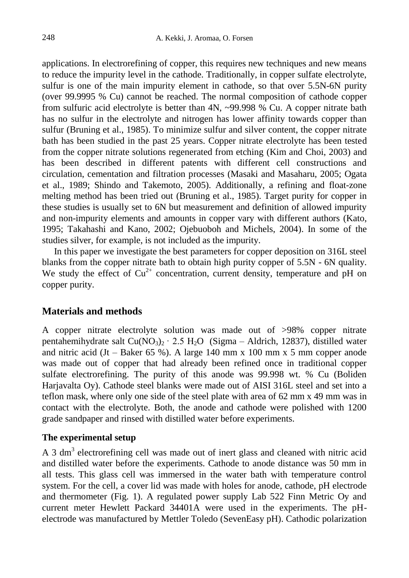applications. In electrorefining of copper, this requires new techniques and new means to reduce the impurity level in the cathode. Traditionally, in copper sulfate electrolyte, sulfur is one of the main impurity element in cathode, so that over 5.5N-6N purity (over 99.9995 % Cu) cannot be reached. The normal composition of cathode copper from sulfuric acid electrolyte is better than 4N, ~99.998 % Cu. A copper nitrate bath has no sulfur in the electrolyte and nitrogen has lower affinity towards copper than sulfur [\(Bruning et al., 1985\)](#page-8-5). To minimize sulfur and silver content, the copper nitrate bath has been studied in the past 25 years. Copper nitrate electrolyte has been tested from the copper nitrate solutions regenerated from etching [\(Kim and Choi, 2003\)](#page-8-6) and has been described in different patents with different cell constructions and circulation, cementation and filtration processes [\(Masaki and Masaharu, 2005;](#page-8-7) [Ogata](#page-9-2)  [et al., 1989;](#page-9-2) Shindo and [Takemoto, 2005\)](#page-9-3). Additionally, a refining and float-zone melting method has been tried out [\(Bruning et al., 1985\)](#page-8-5). Target purity for copper in these studies is usually set to 6N but measurement and definition of allowed impurity and non-impurity elements and amounts in copper vary with different authors [\(Kato,](#page-8-3)  [1995;](#page-8-3) [Takahashi and Kano, 2002;](#page-9-4) [Ojebuoboh and Michels, 2004\)](#page-9-1). In some of the studies silver, for example, is not included as the impurity.

In this paper we investigate the best parameters for copper deposition on 316L steel blanks from the copper nitrate bath to obtain high purity copper of 5.5N - 6N quality. We study the effect of  $Cu^{2+}$  concentration, current density, temperature and pH on copper purity.

### **Materials and methods**

A copper nitrate electrolyte solution was made out of >98% copper nitrate pentahemihydrate salt  $Cu(NO<sub>3</sub>)<sub>2</sub> \cdot 2.5 H<sub>2</sub>O$  (Sigma – Aldrich, 12837), distilled water and nitric acid  $(Jt - Baker 65 \%)$ . A large 140 mm x 100 mm x 5 mm copper anode was made out of copper that had already been refined once in traditional copper sulfate electrorefining. The purity of this anode was 99.998 wt. % Cu (Boliden Harjavalta Oy). Cathode steel blanks were made out of AISI 316L steel and set into a teflon mask, where only one side of the steel plate with area of 62 mm x 49 mm was in contact with the electrolyte. Both, the anode and cathode were polished with 1200 grade sandpaper and rinsed with distilled water before experiments.

#### **The experimental setup**

A 3 dm<sup>3</sup> electrorefining cell was made out of inert glass and cleaned with nitric acid and distilled water before the experiments. Cathode to anode distance was 50 mm in all tests. This glass cell was immersed in the water bath with temperature control system. For the cell, a cover lid was made with holes for anode, cathode, pH electrode and thermometer (Fig. 1). A regulated power supply Lab 522 Finn Metric Oy and current meter Hewlett Packard 34401A were used in the experiments. The pHelectrode was manufactured by Mettler Toledo (SevenEasy pH). Cathodic polarization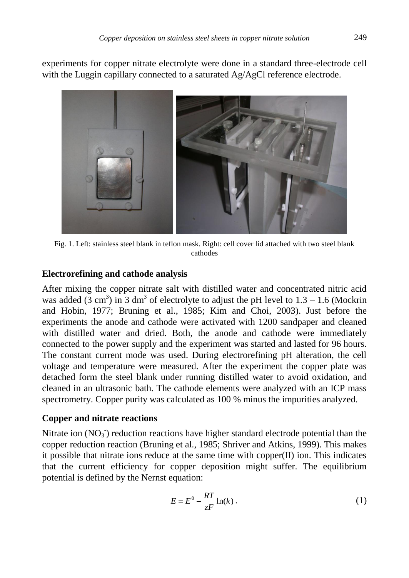experiments for copper nitrate electrolyte were done in a standard three-electrode cell with the Luggin capillary connected to a saturated Ag/AgCl reference electrode.



Fig. 1. Left: stainless steel blank in teflon mask. Right: cell cover lid attached with two steel blank cathodes

## **Electrorefining and cathode analysis**

After mixing the copper nitrate salt with distilled water and concentrated nitric acid was added (3 cm<sup>3</sup>) in 3 dm<sup>3</sup> of electrolyte to adjust the pH level to  $1.3 - 1.6$  (Mockrin [and Hobin, 1977;](#page-8-8) [Bruning et al., 1985;](#page-8-5) [Kim and Choi, 2003\)](#page-8-6). Just before the experiments the anode and cathode were activated with 1200 sandpaper and cleaned with distilled water and dried. Both, the anode and cathode were immediately connected to the power supply and the experiment was started and lasted for 96 hours. The constant current mode was used. During electrorefining pH alteration, the cell voltage and temperature were measured. After the experiment the copper plate was detached form the steel blank under running distilled water to avoid oxidation, and cleaned in an ultrasonic bath. The cathode elements were analyzed with an ICP mass spectrometry. Copper purity was calculated as 100 % minus the impurities analyzed.

### **Copper and nitrate reactions**

Nitrate ion  $(NO<sub>3</sub>)$  reduction reactions have higher standard electrode potential than the copper reduction reaction [\(Bruning et al., 1985;](#page-8-5) [Shriver and Atkins, 1999\)](#page-9-5). This makes it possible that nitrate ions reduce at the same time with copper $(II)$  ion. This indicates that the current efficiency for copper deposition might suffer. The equilibrium potential is defined by the Nernst equation:

$$
E = E^0 - \frac{RT}{zF} \ln(k) \,. \tag{1}
$$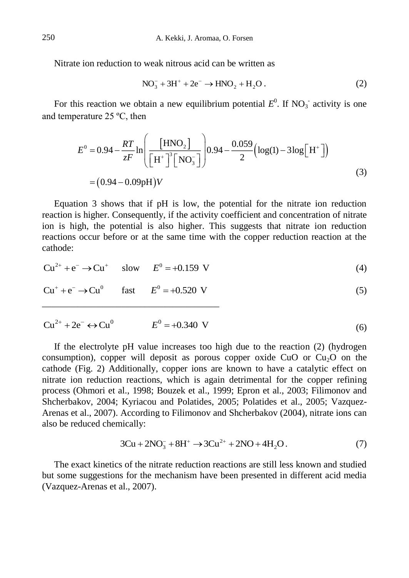Nitrate ion reduction to weak nitrous acid can be written as

$$
NO_3^- + 3H^+ + 2e^- \to HNO_2 + H_2O.
$$
 (2)

For this reaction we obtain a new equilibrium potential  $E^0$ . If  $NO_3^-$  activity is one and temperature 25 ºC, then

$$
E^{0} = 0.94 - \frac{RT}{zF} \ln \left( \frac{[HNO_{2}]}{[H^{+}]^{3} [NO_{3}^{-}]}\right) 0.94 - \frac{0.059}{2} \left( \log(1) - 3 \log[H^{+}] \right)
$$
  
= (0.94 - 0.09pH)*V* (3)

Equation 3 shows that if pH is low, the potential for the nitrate ion reduction reaction is higher. Consequently, if the activity coefficient and concentration of nitrate ion is high, the potential is also higher. This suggests that nitrate ion reduction reactions occur before or at the same time with the copper reduction reaction at the cathode:

$$
Cu^{2+} + e^{-} \to Cu^{+} \quad \text{slow} \quad E^{0} = +0.159 \text{ V}
$$
 (4)

$$
Cu^{+} + e^{-} \rightarrow Cu^{0}
$$
 fast  $E^{0} = +0.520$  V (5)

\_\_\_\_\_\_\_\_\_\_\_\_\_\_\_\_\_\_\_\_\_\_\_\_\_\_\_\_\_\_\_\_\_\_\_\_\_\_

$$
Cu^{2+} + 2e^- \leftrightarrow Cu^0 \qquad E^0 = +0.340 \text{ V} \tag{6}
$$

If the electrolyte pH value increases too high due to the reaction (2) (hydrogen consumption), copper will deposit as porous copper oxide CuO or  $Cu<sub>2</sub>O$  on the cathode (Fig. 2) Additionally, copper ions are known to have a catalytic effect on nitrate ion reduction reactions, which is again detrimental for the copper refining process [\(Ohmori et al., 1998;](#page-9-6) [Bouzek et al., 1999;](#page-8-9) [Epron et al., 2003;](#page-8-10) [Filimonov and](#page-8-11)  [Shcherbakov, 2004;](#page-8-11) [Kyriacou and Polatides, 2005;](#page-8-12) [Polatides et al., 2005;](#page-9-7) [Vazquez-](#page-9-8)[Arenas et al., 2007\)](#page-9-8). According to [Filimonov and Shcherbakov \(2004\)](#page-8-11), nitrate ions can also be reduced chemically:

$$
3Cu + 2NO_3^- + 8H^+ \to 3Cu^{2+} + 2NO + 4H_2O.
$$
 (7)

The exact kinetics of the nitrate reduction reactions are still less known and studied but some suggestions for the mechanism have been presented in different acid media [\(Vazquez-Arenas et al., 2007\)](#page-9-8).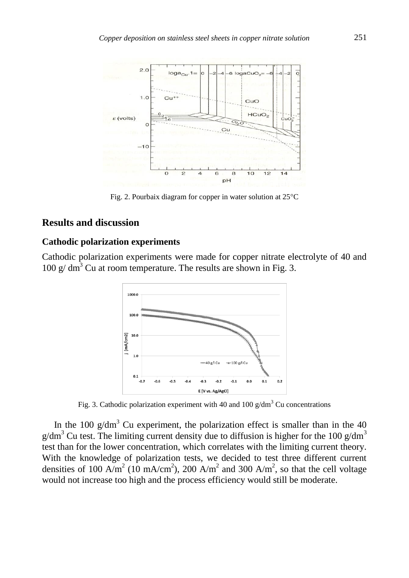

Fig. 2. Pourbaix diagram for copper in water solution at  $25^{\circ}$ C

### **Results and discussion**

#### **Cathodic polarization experiments**

Cathodic polarization experiments were made for copper nitrate electrolyte of 40 and  $100 \text{ g/cm}^3$  Cu at room temperature. The results are shown in Fig. 3.



Fig. 3. Cathodic polarization experiment with 40 and 100  $g/dm<sup>3</sup>$  Cu concentrations

In the 100  $g/dm<sup>3</sup>$  Cu experiment, the polarization effect is smaller than in the 40  $g/dm<sup>3</sup>$  Cu test. The limiting current density due to diffusion is higher for the 100  $g/dm<sup>3</sup>$ test than for the lower concentration, which correlates with the limiting current theory. With the knowledge of polarization tests, we decided to test three different current densities of 100 A/m<sup>2</sup> (10 mA/cm<sup>2</sup>), 200 A/m<sup>2</sup> and 300 A/m<sup>2</sup>, so that the cell voltage would not increase too high and the process efficiency would still be moderate.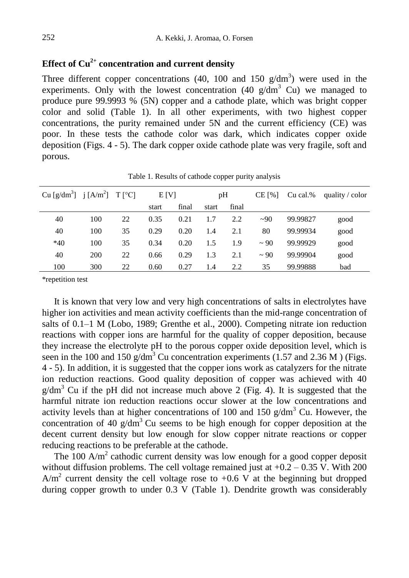# **Effect of Cu2+ concentration and current density**

Three different copper concentrations (40, 100 and 150  $g/dm<sup>3</sup>$ ) were used in the experiments. Only with the lowest concentration (40  $g/dm<sup>3</sup>$  Cu) we managed to produce pure 99.9993 % (5N) copper and a cathode plate, which was bright copper color and solid (Table 1). In all other experiments, with two highest copper concentrations, the purity remained under 5N and the current efficiency (CE) was poor. In these tests the cathode color was dark, which indicates copper oxide deposition (Figs. 4 - 5). The dark copper oxide cathode plate was very fragile, soft and porous.

| Cu [g/dm <sup>3</sup> ] j [A/m <sup>2</sup> ] T [°C] |     |    | E[V]  |       | pH    |       | $CE$ [%] | Cu cal.% | quality $\prime$ color |
|------------------------------------------------------|-----|----|-------|-------|-------|-------|----------|----------|------------------------|
|                                                      |     |    | start | final | start | final |          |          |                        |
| 40                                                   | 100 | 22 | 0.35  | 0.21  | 1.7   | 2.2   | ~100     | 99.99827 | good                   |
| 40                                                   | 100 | 35 | 0.29  | 0.20  | 1.4   | 2.1   | 80       | 99.99934 | good                   |
| $*40$                                                | 100 | 35 | 0.34  | 0.20  | 1.5   | 1.9   | $~1$ 90  | 99.99929 | good                   |
| 40                                                   | 200 | 22 | 0.66  | 0.29  | 1.3   | 2.1   | $~1$ 90  | 99.99904 | good                   |
| 100                                                  | 300 | 22 | 0.60  | 0.27  | 1.4   | 2.2   | 35       | 99.99888 | bad                    |

Table 1. Results of cathode copper purity analysis

\*repetition test

It is known that very low and very high concentrations of salts in electrolytes have higher ion activities and mean activity coefficients than the mid-range concentration of salts of 0.1–1 M [\(Lobo, 1989;](#page-8-13) [Grenthe et al., 2000\)](#page-8-14). Competing nitrate ion reduction reactions with copper ions are harmful for the quality of copper deposition, because they increase the electrolyte pH to the porous copper oxide deposition level, which is seen in the 100 and 150  $g/dm^3$  Cu concentration experiments (1.57 and 2.36 M) (Figs. 4 - 5). In addition, it is suggested that the copper ions work as catalyzers for the nitrate ion reduction reactions. Good quality deposition of copper was achieved with 40  $g/dm<sup>3</sup>$  Cu if the pH did not increase much above 2 (Fig. 4). It is suggested that the harmful nitrate ion reduction reactions occur slower at the low concentrations and activity levels than at higher concentrations of 100 and 150  $g/dm<sup>3</sup>$  Cu. However, the concentration of 40  $g/dm<sup>3</sup>$  Cu seems to be high enough for copper deposition at the decent current density but low enough for slow copper nitrate reactions or copper reducing reactions to be preferable at the cathode.

The 100 A/ $m<sup>2</sup>$  cathodic current density was low enough for a good copper deposit without diffusion problems. The cell voltage remained just at  $+0.2 - 0.35$  V. With 200  $A/m<sup>2</sup>$  current density the cell voltage rose to +0.6 V at the beginning but dropped during copper growth to under 0.3 V (Table 1). Dendrite growth was considerably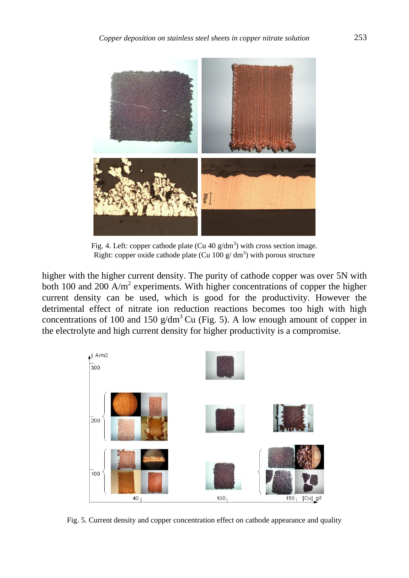

Fig. 4. Left: copper cathode plate (Cu 40  $g/dm<sup>3</sup>$ ) with cross section image. Right: copper oxide cathode plate (Cu 100 g/dm<sup>3</sup>) with porous structure

higher with the higher current density. The purity of cathode copper was over 5N with both 100 and 200  $A/m^2$  experiments. With higher concentrations of copper the higher current density can be used, which is good for the productivity. However the detrimental effect of nitrate ion reduction reactions becomes too high with high concentrations of 100 and 150  $g/dm<sup>3</sup>$  Cu (Fig. 5). A low enough amount of copper in the electrolyte and high current density for higher productivity is a compromise.



Fig. 5. Current density and copper concentration effect on cathode appearance and quality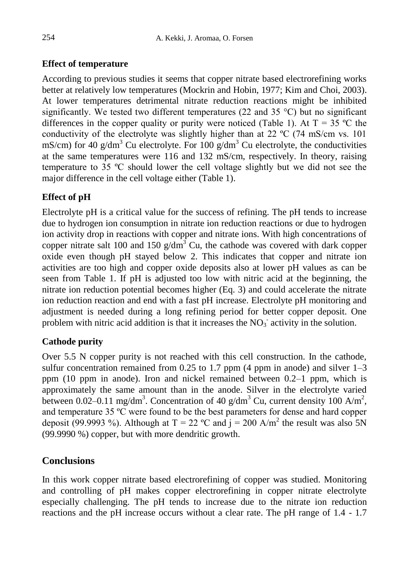## **Effect of temperature**

According to previous studies it seems that copper nitrate based electrorefining works better at relatively low temperatures [\(Mockrin and Hobin, 1977;](#page-8-8) [Kim and Choi, 2003\)](#page-8-6). At lower temperatures detrimental nitrate reduction reactions might be inhibited significantly. We tested two different temperatures (22 and 35  $^{\circ}$ C) but no significant differences in the copper quality or purity were noticed (Table 1). At  $T = 35$  °C the conductivity of the electrolyte was slightly higher than at 22 ºC (74 mS/cm vs. 101 mS/cm) for 40  $g/dm<sup>3</sup>$  Cu electrolyte. For 100  $g/dm<sup>3</sup>$  Cu electrolyte, the conductivities at the same temperatures were 116 and 132 mS/cm, respectively. In theory, raising temperature to 35 ºC should lower the cell voltage slightly but we did not see the major difference in the cell voltage either (Table 1).

# **Effect of pH**

Electrolyte pH is a critical value for the success of refining. The pH tends to increase due to hydrogen ion consumption in nitrate ion reduction reactions or due to hydrogen ion activity drop in reactions with copper and nitrate ions. With high concentrations of copper nitrate salt 100 and 150  $g/dm^3$  Cu, the cathode was covered with dark copper oxide even though pH stayed below 2. This indicates that copper and nitrate ion activities are too high and copper oxide deposits also at lower pH values as can be seen from Table 1. If pH is adjusted too low with nitric acid at the beginning, the nitrate ion reduction potential becomes higher (Eq. 3) and could accelerate the nitrate ion reduction reaction and end with a fast pH increase. Electrolyte pH monitoring and adjustment is needed during a long refining period for better copper deposit. One problem with nitric acid addition is that it increases the  $NO<sub>3</sub>$  activity in the solution.

## **Cathode purity**

Over 5.5 N copper purity is not reached with this cell construction. In the cathode, sulfur concentration remained from 0.25 to 1.7 ppm (4 ppm in anode) and silver  $1-3$ ppm (10 ppm in anode). Iron and nickel remained between 0.2–1 ppm, which is approximately the same amount than in the anode. Silver in the electrolyte varied between 0.02–0.11 mg/dm<sup>3</sup>. Concentration of 40 g/dm<sup>3</sup> Cu, current density 100 A/m<sup>2</sup>, and temperature 35 ºC were found to be the best parameters for dense and hard copper deposit (99.9993 %). Although at T = 22 °C and j = 200 A/m<sup>2</sup> the result was also 5N (99.9990 %) copper, but with more dendritic growth.

# **Conclusions**

In this work copper nitrate based electrorefining of copper was studied. Monitoring and controlling of pH makes copper electrorefining in copper nitrate electrolyte especially challenging. The pH tends to increase due to the nitrate ion reduction reactions and the pH increase occurs without a clear rate. The pH range of 1.4 - 1.7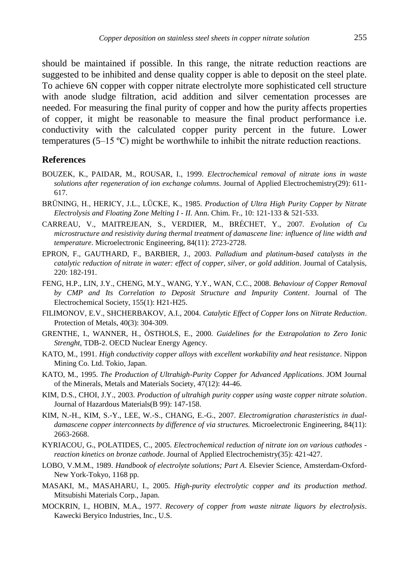should be maintained if possible. In this range, the nitrate reduction reactions are suggested to be inhibited and dense quality copper is able to deposit on the steel plate. To achieve 6N copper with copper nitrate electrolyte more sophisticated cell structure with anode sludge filtration, acid addition and silver cementation processes are needed. For measuring the final purity of copper and how the purity affects properties of copper, it might be reasonable to measure the final product performance i.e. conductivity with the calculated copper purity percent in the future. Lower temperatures (5–15 ºC) might be worthwhile to inhibit the nitrate reduction reactions.

#### **References**

- <span id="page-8-9"></span>BOUZEK, K., PAIDAR, M., ROUSAR, I., 1999. *Electrochemical removal of nitrate ions in waste solutions after regeneration of ion exchange columns*. Journal of Applied Electrochemistry(29): 611- 617.
- <span id="page-8-5"></span>BRÜNING, H., HERICY, J.L., LÜCKE, K., 1985. *Production of Ultra High Purity Copper by Nitrate Electrolysis and Floating Zone Melting I - II*. Ann. Chim. Fr., 10: 121-133 & 521-533.
- <span id="page-8-1"></span>CARREAU, V., MAITREJEAN, S., VERDIER, M., BRÉCHET, Y., 2007. *Evolution of Cu microstructure and resistivity during thermal treatment of damascene line: influence of line width and temperature*. Microelectronic Engineering, 84(11): 2723-2728.
- <span id="page-8-10"></span>EPRON, F., GAUTHARD, F., BARBIER, J., 2003. *Palladium and platinum-based catalysts in the catalytic reduction of nitrate in water: effect of copper, silver, or gold addition*. Journal of Catalysis, 220: 182-191.
- <span id="page-8-4"></span>FENG, H.P., LIN, J.Y., CHENG, M.Y., WANG, Y.Y., WAN, C.C., 2008. *Behaviour of Copper Removal by CMP and Its Correlation to Deposit Structure and Impurity Content*. Journal of The Electrochemical Society, 155(1): H21-H25.
- <span id="page-8-11"></span>FILIMONOV, E.V., SHCHERBAKOV, A.I., 2004. *Catalytic Effect of Copper Ions on Nitrate Reduction*. Protection of Metals, 40(3): 304-309.
- <span id="page-8-14"></span>GRENTHE, I., WANNER, H., ÖSTHOLS, E., 2000. *Guidelines for the Extrapolation to Zero Ionic Strenght*, TDB-2. OECD Nuclear Energy Agency.
- <span id="page-8-2"></span>KATO, M., 1991. *High conductivity copper alloys with excellent workability and heat resistance*. Nippon Mining Co. Ltd. Tokio, Japan.
- <span id="page-8-3"></span>KATO, M., 1995. *The Production of Ultrahigh-Purity Copper for Advanced Applications*. JOM Journal of the Minerals, Metals and Materials Society, 47(12): 44-46.
- <span id="page-8-6"></span>KIM, D.S., CHOI, J.Y., 2003. *Production of ultrahigh purity copper using waste copper nitrate solution*. Journal of Hazardous Materials(B 99): 147-158.
- <span id="page-8-0"></span>KIM, N.-H., KIM, S.-Y., LEE, W.-S., CHANG, E.-G., 2007. *Electromigration charasteristics in dualdamascene copper interconnects by difference of via structures.* Microelectronic Engineering, 84(11): 2663-2668.
- <span id="page-8-12"></span>KYRIACOU, G., POLATIDES, C., 2005. *Electrochemical reduction of nitrate ion on various cathodes reaction kinetics on bronze cathode*. Journal of Applied Electrochemistry(35): 421-427.
- <span id="page-8-13"></span>LOBO, V.M.M., 1989. *Handbook of electrolyte solutions; Part A*. Elsevier Science, Amsterdam-Oxford-New York-Tokyo, 1168 pp.
- <span id="page-8-7"></span>MASAKI, M., MASAHARU, I., 2005. *High-purity electrolytic copper and its production method*. Mitsubishi Materials Corp., Japan.
- <span id="page-8-8"></span>MOCKRIN, I., HOBIN, M.A., 1977. *Recovery of copper from waste nitrate liquors by electrolysis*. Kawecki Beryico Industries, Inc., U.S.